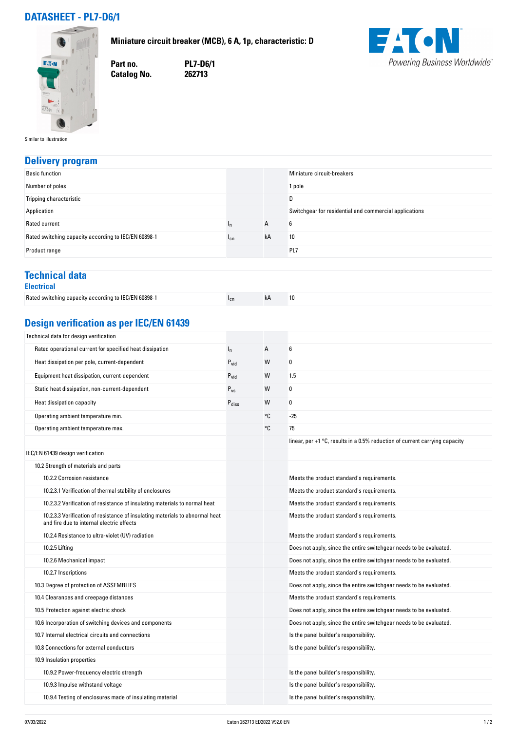# **DATASHEET - PL7-D6/1**

**Miniature circuit breaker (MCB), 6 A, 1p, characteristic: D**



**Part no. PL7-D6/1 Catalog No.** 

**FACN** Powering Business Worldwide®

Similar to illustration

### **Delivery program**

| <b>Basic function</b>                                |                 |    | Miniature circuit-breakers                             |
|------------------------------------------------------|-----------------|----|--------------------------------------------------------|
| Number of poles                                      |                 |    | 1 pole                                                 |
| Tripping characteristic                              |                 |    | D                                                      |
| Application                                          |                 |    | Switchgear for residential and commercial applications |
| Rated current                                        | ٠n              | A  | 6                                                      |
| Rated switching capacity according to IEC/EN 60898-1 | <sup>1</sup> cn | kA | 10                                                     |
| Product range                                        |                 |    | PL7                                                    |

#### **Technical data Electrical**

| ___________                                          |  |  |
|------------------------------------------------------|--|--|
| Rated switching capacity according to IEC/EN 60898-1 |  |  |

| L <sub>h</sub><br>K L<br>Inn |  |
|------------------------------|--|

# **Design verification as per IEC/EN 61439**

| Technical data for design verification                                                                                    |                              |    |                                                                               |
|---------------------------------------------------------------------------------------------------------------------------|------------------------------|----|-------------------------------------------------------------------------------|
| Rated operational current for specified heat dissipation                                                                  | $I_n$                        | А  | 6                                                                             |
| Heat dissipation per pole, current-dependent                                                                              | $P_{vid}$                    | W  | 0                                                                             |
| Equipment heat dissipation, current-dependent                                                                             | $P_{\text{vid}}$             | W  | 1.5                                                                           |
| Static heat dissipation, non-current-dependent                                                                            | $P_{VS}$                     | W  | 0                                                                             |
| Heat dissipation capacity                                                                                                 | $\mathsf{P}_{\mathsf{diss}}$ | W  | 0                                                                             |
| Operating ambient temperature min.                                                                                        |                              | °C | $-25$                                                                         |
| Operating ambient temperature max.                                                                                        |                              | °C | 75                                                                            |
|                                                                                                                           |                              |    | linear, per $+1$ °C, results in a 0.5% reduction of current carrying capacity |
| IEC/EN 61439 design verification                                                                                          |                              |    |                                                                               |
| 10.2 Strength of materials and parts                                                                                      |                              |    |                                                                               |
| 10.2.2 Corrosion resistance                                                                                               |                              |    | Meets the product standard's requirements.                                    |
| 10.2.3.1 Verification of thermal stability of enclosures                                                                  |                              |    | Meets the product standard's requirements.                                    |
| 10.2.3.2 Verification of resistance of insulating materials to normal heat                                                |                              |    | Meets the product standard's requirements.                                    |
| 10.2.3.3 Verification of resistance of insulating materials to abnormal heat<br>and fire due to internal electric effects |                              |    | Meets the product standard's requirements.                                    |
| 10.2.4 Resistance to ultra-violet (UV) radiation                                                                          |                              |    | Meets the product standard's requirements.                                    |
| 10.2.5 Lifting                                                                                                            |                              |    | Does not apply, since the entire switchgear needs to be evaluated.            |
| 10.2.6 Mechanical impact                                                                                                  |                              |    | Does not apply, since the entire switchgear needs to be evaluated.            |
| 10.2.7 Inscriptions                                                                                                       |                              |    | Meets the product standard's requirements.                                    |
| 10.3 Degree of protection of ASSEMBLIES                                                                                   |                              |    | Does not apply, since the entire switchgear needs to be evaluated.            |
| 10.4 Clearances and creepage distances                                                                                    |                              |    | Meets the product standard's requirements.                                    |
| 10.5 Protection against electric shock                                                                                    |                              |    | Does not apply, since the entire switchgear needs to be evaluated.            |
| 10.6 Incorporation of switching devices and components                                                                    |                              |    | Does not apply, since the entire switchgear needs to be evaluated.            |
| 10.7 Internal electrical circuits and connections                                                                         |                              |    | Is the panel builder's responsibility.                                        |
| 10.8 Connections for external conductors                                                                                  |                              |    | Is the panel builder's responsibility.                                        |
| 10.9 Insulation properties                                                                                                |                              |    |                                                                               |
| 10.9.2 Power-frequency electric strength                                                                                  |                              |    | Is the panel builder's responsibility.                                        |
| 10.9.3 Impulse withstand voltage                                                                                          |                              |    | Is the panel builder's responsibility.                                        |
| 10.9.4 Testing of enclosures made of insulating material                                                                  |                              |    | Is the panel builder's responsibility.                                        |